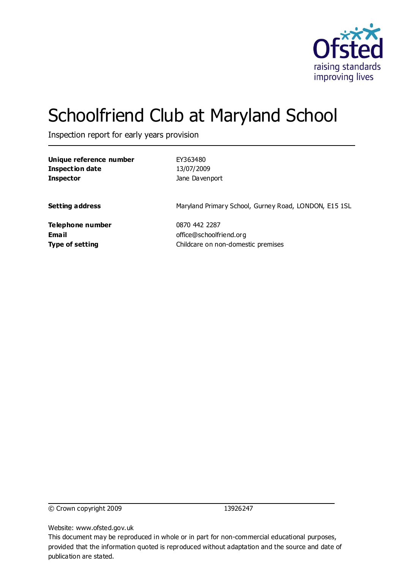

# Schoolfriend Club at Maryland School

Inspection report for early years provision

| Unique reference number | EY363480                                              |
|-------------------------|-------------------------------------------------------|
| <b>Inspection date</b>  | 13/07/2009                                            |
| <b>Inspector</b>        | Jane Davenport                                        |
| <b>Setting address</b>  | Maryland Primary School, Gurney Road, LONDON, E15 1SL |
| Telephone number        | 0870 442 2287                                         |
| <b>Email</b>            | office@schoolfriend.org                               |
| <b>Type of setting</b>  | Childcare on non-domestic premises                    |

© Crown copyright 2009 13926247

Website: www.ofsted.gov.uk

This document may be reproduced in whole or in part for non-commercial educational purposes, provided that the information quoted is reproduced without adaptation and the source and date of publication are stated.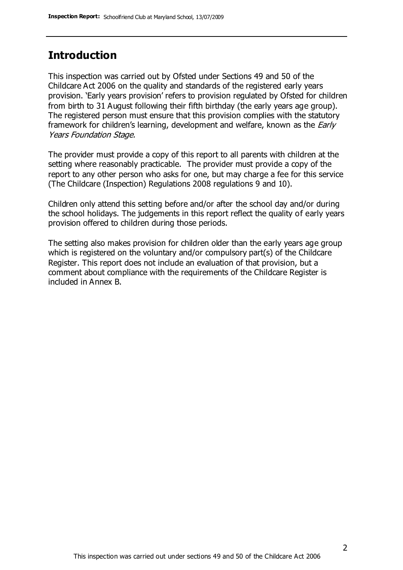## **Introduction**

This inspection was carried out by Ofsted under Sections 49 and 50 of the Childcare Act 2006 on the quality and standards of the registered early years provision. 'Early years provision' refers to provision regulated by Ofsted for children from birth to 31 August following their fifth birthday (the early years age group). The registered person must ensure that this provision complies with the statutory framework for children's learning, development and welfare, known as the *Early* Years Foundation Stage.

The provider must provide a copy of this report to all parents with children at the setting where reasonably practicable. The provider must provide a copy of the report to any other person who asks for one, but may charge a fee for this service (The Childcare (Inspection) Regulations 2008 regulations 9 and 10).

Children only attend this setting before and/or after the school day and/or during the school holidays. The judgements in this report reflect the quality of early years provision offered to children during those periods.

The setting also makes provision for children older than the early years age group which is registered on the voluntary and/or compulsory part(s) of the Childcare Register. This report does not include an evaluation of that provision, but a comment about compliance with the requirements of the Childcare Register is included in Annex B.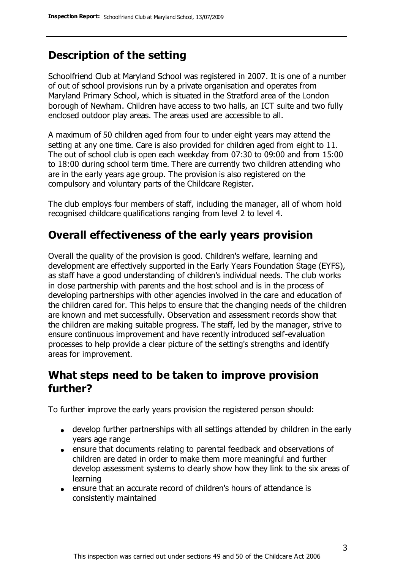# **Description of the setting**

Schoolfriend Club at Maryland School was registered in 2007. It is one of a number of out of school provisions run by a private organisation and operates from Maryland Primary School, which is situated in the Stratford area of the London borough of Newham. Children have access to two halls, an ICT suite and two fully enclosed outdoor play areas. The areas used are accessible to all.

A maximum of 50 children aged from four to under eight years may attend the setting at any one time. Care is also provided for children aged from eight to 11. The out of school club is open each weekday from 07:30 to 09:00 and from 15:00 to 18:00 during school term time. There are currently two children attending who are in the early years age group. The provision is also registered on the compulsory and voluntary parts of the Childcare Register.

The club employs four members of staff, including the manager, all of whom hold recognised childcare qualifications ranging from level 2 to level 4.

# **Overall effectiveness of the early years provision**

Overall the quality of the provision is good. Children's welfare, learning and development are effectively supported in the Early Years Foundation Stage (EYFS), as staff have a good understanding of children's individual needs. The club works in close partnership with parents and the host school and is in the process of developing partnerships with other agencies involved in the care and education of the children cared for. This helps to ensure that the changing needs of the children are known and met successfully. Observation and assessment records show that the children are making suitable progress. The staff, led by the manager, strive to ensure continuous improvement and have recently introduced self-evaluation processes to help provide a clear picture of the setting's strengths and identify areas for improvement.

## **What steps need to be taken to improve provision further?**

To further improve the early years provision the registered person should:

- develop further partnerships with all settings attended by children in the early years age range
- ensure that documents relating to parental feedback and observations of children are dated in order to make them more meaningful and further develop assessment systems to clearly show how they link to the six areas of learning
- ensure that an accurate record of children's hours of attendance is consistently maintained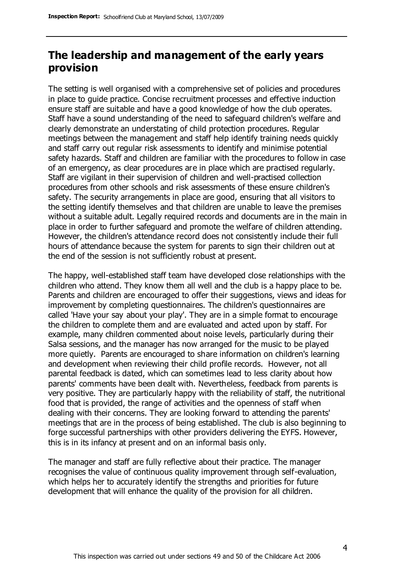## **The leadership and management of the early years provision**

The setting is well organised with a comprehensive set of policies and procedures in place to guide practice. Concise recruitment processes and effective induction ensure staff are suitable and have a good knowledge of how the club operates. Staff have a sound understanding of the need to safeguard children's welfare and clearly demonstrate an understating of child protection procedures. Regular meetings between the management and staff help identify training needs quickly and staff carry out regular risk assessments to identify and minimise potential safety hazards. Staff and children are familiar with the procedures to follow in case of an emergency, as clear procedures are in place which are practised regularly. Staff are vigilant in their supervision of children and well-practised collection procedures from other schools and risk assessments of these ensure children's safety. The security arrangements in place are good, ensuring that all visitors to the setting identify themselves and that children are unable to leave the premises without a suitable adult. Legally required records and documents are in the main in place in order to further safeguard and promote the welfare of children attending. However, the children's attendance record does not consistently include their full hours of attendance because the system for parents to sign their children out at the end of the session is not sufficiently robust at present.

The happy, well-established staff team have developed close relationships with the children who attend. They know them all well and the club is a happy place to be. Parents and children are encouraged to offer their suggestions, views and ideas for improvement by completing questionnaires. The children's questionnaires are called 'Have your say about your play'. They are in a simple format to encourage the children to complete them and are evaluated and acted upon by staff. For example, many children commented about noise levels, particularly during their Salsa sessions, and the manager has now arranged for the music to be played more quietly. Parents are encouraged to share information on children's learning and development when reviewing their child profile records. However, not all parental feedback is dated, which can sometimes lead to less clarity about how parents' comments have been dealt with. Nevertheless, feedback from parents is very positive. They are particularly happy with the reliability of staff, the nutritional food that is provided, the range of activities and the openness of staff when dealing with their concerns. They are looking forward to attending the parents' meetings that are in the process of being established. The club is also beginning to forge successful partnerships with other providers delivering the EYFS. However, this is in its infancy at present and on an informal basis only.

The manager and staff are fully reflective about their practice. The manager recognises the value of continuous quality improvement through self-evaluation, which helps her to accurately identify the strengths and priorities for future development that will enhance the quality of the provision for all children.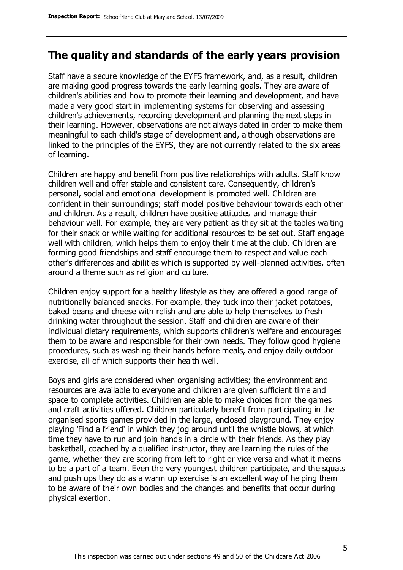### **The quality and standards of the early years provision**

Staff have a secure knowledge of the EYFS framework, and, as a result, children are making good progress towards the early learning goals. They are aware of children's abilities and how to promote their learning and development, and have made a very good start in implementing systems for observing and assessing children's achievements, recording development and planning the next steps in their learning. However, observations are not always dated in order to make them meaningful to each child's stage of development and, although observations are linked to the principles of the EYFS, they are not currently related to the six areas of learning.

Children are happy and benefit from positive relationships with adults. Staff know children well and offer stable and consistent care. Consequently, children's personal, social and emotional development is promoted well. Children are confident in their surroundings; staff model positive behaviour towards each other and children. As a result, children have positive attitudes and manage their behaviour well. For example, they are very patient as they sit at the tables waiting for their snack or while waiting for additional resources to be set out. Staff engage well with children, which helps them to enjoy their time at the club. Children are forming good friendships and staff encourage them to respect and value each other's differences and abilities which is supported by well-planned activities, often around a theme such as religion and culture.

Children enjoy support for a healthy lifestyle as they are offered a good range of nutritionally balanced snacks. For example, they tuck into their jacket potatoes, baked beans and cheese with relish and are able to help themselves to fresh drinking water throughout the session. Staff and children are aware of their individual dietary requirements, which supports children's welfare and encourages them to be aware and responsible for their own needs. They follow good hygiene procedures, such as washing their hands before meals, and enjoy daily outdoor exercise, all of which supports their health well.

Boys and girls are considered when organising activities; the environment and resources are available to everyone and children are given sufficient time and space to complete activities. Children are able to make choices from the games and craft activities offered. Children particularly benefit from participating in the organised sports games provided in the large, enclosed playground. They enjoy playing 'Find a friend' in which they jog around until the whistle blows, at which time they have to run and join hands in a circle with their friends. As they play basketball, coached by a qualified instructor, they are learning the rules of the game, whether they are scoring from left to right or vice versa and what it means to be a part of a team. Even the very youngest children participate, and the squats and push ups they do as a warm up exercise is an excellent way of helping them to be aware of their own bodies and the changes and benefits that occur during physical exertion.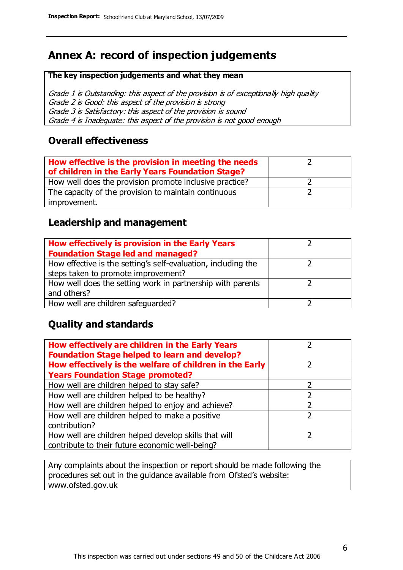# **Annex A: record of inspection judgements**

#### **The key inspection judgements and what they mean**

Grade 1 is Outstanding: this aspect of the provision is of exceptionally high quality Grade 2 is Good: this aspect of the provision is strong Grade 3 is Satisfactory: this aspect of the provision is sound Grade 4 is Inadequate: this aspect of the provision is not good enough

#### **Overall effectiveness**

| How effective is the provision in meeting the needs<br>of children in the Early Years Foundation Stage? |  |
|---------------------------------------------------------------------------------------------------------|--|
| How well does the provision promote inclusive practice?                                                 |  |
| The capacity of the provision to maintain continuous                                                    |  |
| improvement.                                                                                            |  |

#### **Leadership and management**

| How effectively is provision in the Early Years               |  |
|---------------------------------------------------------------|--|
| <b>Foundation Stage led and managed?</b>                      |  |
| How effective is the setting's self-evaluation, including the |  |
| steps taken to promote improvement?                           |  |
| How well does the setting work in partnership with parents    |  |
| and others?                                                   |  |
| How well are children safequarded?                            |  |

#### **Quality and standards**

| How effectively are children in the Early Years<br><b>Foundation Stage helped to learn and develop?</b> |               |
|---------------------------------------------------------------------------------------------------------|---------------|
| How effectively is the welfare of children in the Early                                                 | ר             |
| <b>Years Foundation Stage promoted?</b>                                                                 |               |
| How well are children helped to stay safe?                                                              |               |
| How well are children helped to be healthy?                                                             |               |
| How well are children helped to enjoy and achieve?                                                      | 2             |
| How well are children helped to make a positive                                                         | $\mathcal{P}$ |
| contribution?                                                                                           |               |
| How well are children helped develop skills that will                                                   |               |
| contribute to their future economic well-being?                                                         |               |

Any complaints about the inspection or report should be made following the procedures set out in the guidance available from Ofsted's website: www.ofsted.gov.uk